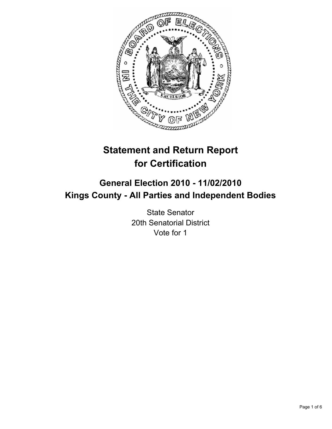

# **Statement and Return Report for Certification**

# **General Election 2010 - 11/02/2010 Kings County - All Parties and Independent Bodies**

State Senator 20th Senatorial District Vote for 1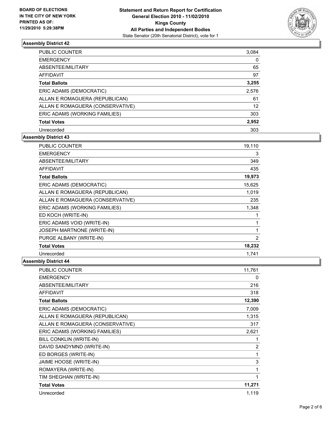

| <b>PUBLIC COUNTER</b>            | 3,084 |
|----------------------------------|-------|
| <b>EMERGENCY</b>                 | 0     |
| ABSENTEE/MILITARY                | 65    |
| AFFIDAVIT                        | 97    |
| <b>Total Ballots</b>             | 3,255 |
| ERIC ADAMS (DEMOCRATIC)          | 2,576 |
| ALLAN E ROMAGUERA (REPUBLICAN)   | 61    |
| ALLAN E ROMAGUERA (CONSERVATIVE) | 12    |
| ERIC ADAMS (WORKING FAMILIES)    | 303   |
| <b>Total Votes</b>               | 2,952 |
| Unrecorded                       | 303   |

# **Assembly District 43**

| PUBLIC COUNTER                    | 19,110 |
|-----------------------------------|--------|
| <b>EMERGENCY</b>                  | 3      |
| ABSENTEE/MILITARY                 | 349    |
| <b>AFFIDAVIT</b>                  | 435    |
| <b>Total Ballots</b>              | 19,973 |
| ERIC ADAMS (DEMOCRATIC)           | 15,625 |
| ALLAN E ROMAGUERA (REPUBLICAN)    | 1,019  |
| ALLAN E ROMAGUERA (CONSERVATIVE)  | 235    |
| ERIC ADAMS (WORKING FAMILIES)     | 1,348  |
| ED KOCH (WRITE-IN)                | 1      |
| ERIC ADAMS VOID (WRITE-IN)        | 1      |
| <b>JOSEPH MARTNONE (WRITE-IN)</b> | 1      |
| PURGE ALBANY (WRITE-IN)           | 2      |
| <b>Total Votes</b>                | 18,232 |
| Unrecorded                        | 1,741  |

| <b>PUBLIC COUNTER</b>            | 11,761         |
|----------------------------------|----------------|
| <b>EMERGENCY</b>                 | 0              |
| <b>ABSENTEE/MILITARY</b>         | 216            |
| <b>AFFIDAVIT</b>                 | 318            |
| <b>Total Ballots</b>             | 12,390         |
| ERIC ADAMS (DEMOCRATIC)          | 7,009          |
| ALLAN E ROMAGUERA (REPUBLICAN)   | 1,315          |
| ALLAN E ROMAGUERA (CONSERVATIVE) | 317            |
| ERIC ADAMS (WORKING FAMILIES)    | 2,621          |
| BILL CONKLIN (WRITE-IN)          | 1              |
| DAVID SANDYMND (WRITE-IN)        | $\overline{2}$ |
| ED BORGES (WRITE-IN)             | 1              |
| JAIME HOOSE (WRITE-IN)           | 3              |
| ROMAYERA (WRITE-IN)              | 1              |
| TIM SHEGHAN (WRITE-IN)           | 1              |
| <b>Total Votes</b>               | 11,271         |
| Unrecorded                       | 1,119          |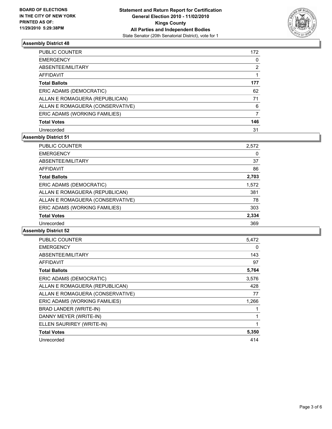

| PUBLIC COUNTER                   | 172 |
|----------------------------------|-----|
| <b>EMERGENCY</b>                 | 0   |
| ABSENTEE/MILITARY                | 2   |
| <b>AFFIDAVIT</b>                 |     |
| <b>Total Ballots</b>             | 177 |
| ERIC ADAMS (DEMOCRATIC)          | 62  |
| ALLAN E ROMAGUERA (REPUBLICAN)   | 71  |
| ALLAN E ROMAGUERA (CONSERVATIVE) | 6   |
| ERIC ADAMS (WORKING FAMILIES)    | 7   |
| <b>Total Votes</b>               | 146 |
| Unrecorded                       | 31  |

# **Assembly District 51**

| <b>PUBLIC COUNTER</b>            | 2,572 |
|----------------------------------|-------|
| <b>EMERGENCY</b>                 | 0     |
| ABSENTEE/MILITARY                | 37    |
| <b>AFFIDAVIT</b>                 | 86    |
| <b>Total Ballots</b>             | 2,703 |
| ERIC ADAMS (DEMOCRATIC)          | 1,572 |
| ALLAN E ROMAGUERA (REPUBLICAN)   | 381   |
| ALLAN E ROMAGUERA (CONSERVATIVE) | 78    |
| ERIC ADAMS (WORKING FAMILIES)    | 303   |
| <b>Total Votes</b>               | 2,334 |
| Unrecorded                       | 369   |

| <b>PUBLIC COUNTER</b>            | 5,472 |
|----------------------------------|-------|
| <b>EMERGENCY</b>                 | 0     |
| ABSENTEE/MILITARY                | 143   |
| <b>AFFIDAVIT</b>                 | 97    |
| <b>Total Ballots</b>             | 5,764 |
| ERIC ADAMS (DEMOCRATIC)          | 3,576 |
| ALLAN E ROMAGUERA (REPUBLICAN)   | 428   |
| ALLAN E ROMAGUERA (CONSERVATIVE) | 77    |
| ERIC ADAMS (WORKING FAMILIES)    | 1,266 |
| BRAD LANDER (WRITE-IN)           | 1     |
| DANNY MEYER (WRITE-IN)           | 1     |
| ELLEN SAURIREY (WRITE-IN)        | 1     |
| <b>Total Votes</b>               | 5,350 |
| Unrecorded                       | 414   |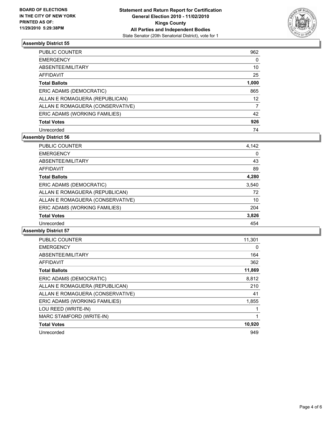

| <b>PUBLIC COUNTER</b>            | 962   |
|----------------------------------|-------|
| <b>EMERGENCY</b>                 | 0     |
| ABSENTEE/MILITARY                | 10    |
| AFFIDAVIT                        | 25    |
| <b>Total Ballots</b>             | 1,000 |
| ERIC ADAMS (DEMOCRATIC)          | 865   |
| ALLAN E ROMAGUERA (REPUBLICAN)   | 12    |
| ALLAN E ROMAGUERA (CONSERVATIVE) | 7     |
| ERIC ADAMS (WORKING FAMILIES)    | 42    |
| <b>Total Votes</b>               | 926   |
| Unrecorded                       | 74    |

# **Assembly District 56**

| <b>PUBLIC COUNTER</b>            | 4,142 |
|----------------------------------|-------|
| <b>EMERGENCY</b>                 | 0     |
| ABSENTEE/MILITARY                | 43    |
| <b>AFFIDAVIT</b>                 | 89    |
| <b>Total Ballots</b>             | 4,280 |
| ERIC ADAMS (DEMOCRATIC)          | 3,540 |
| ALLAN E ROMAGUERA (REPUBLICAN)   | 72    |
| ALLAN E ROMAGUERA (CONSERVATIVE) | 10    |
| ERIC ADAMS (WORKING FAMILIES)    | 204   |
| <b>Total Votes</b>               | 3,826 |
| Unrecorded                       | 454   |

| <b>PUBLIC COUNTER</b>            | 11,301 |
|----------------------------------|--------|
| <b>EMERGENCY</b>                 | 0      |
| ABSENTEE/MILITARY                | 164    |
| <b>AFFIDAVIT</b>                 | 362    |
| <b>Total Ballots</b>             | 11,869 |
| ERIC ADAMS (DEMOCRATIC)          | 8,812  |
| ALLAN E ROMAGUERA (REPUBLICAN)   | 210    |
| ALLAN E ROMAGUERA (CONSERVATIVE) | 41     |
| ERIC ADAMS (WORKING FAMILIES)    | 1,855  |
| LOU REED (WRITE-IN)              |        |
| MARC STAMFORD (WRITE-IN)         | 1      |
| <b>Total Votes</b>               | 10,920 |
| Unrecorded                       | 949    |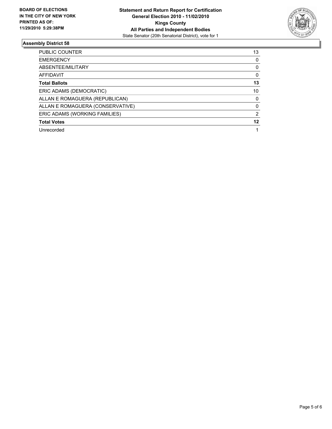

| <b>PUBLIC COUNTER</b>            | 13 |
|----------------------------------|----|
| <b>EMERGENCY</b>                 | 0  |
| ABSENTEE/MILITARY                | 0  |
| <b>AFFIDAVIT</b>                 | 0  |
| <b>Total Ballots</b>             | 13 |
| ERIC ADAMS (DEMOCRATIC)          | 10 |
| ALLAN E ROMAGUERA (REPUBLICAN)   | 0  |
| ALLAN E ROMAGUERA (CONSERVATIVE) | 0  |
| ERIC ADAMS (WORKING FAMILIES)    | 2  |
| <b>Total Votes</b>               | 12 |
| Unrecorded                       |    |